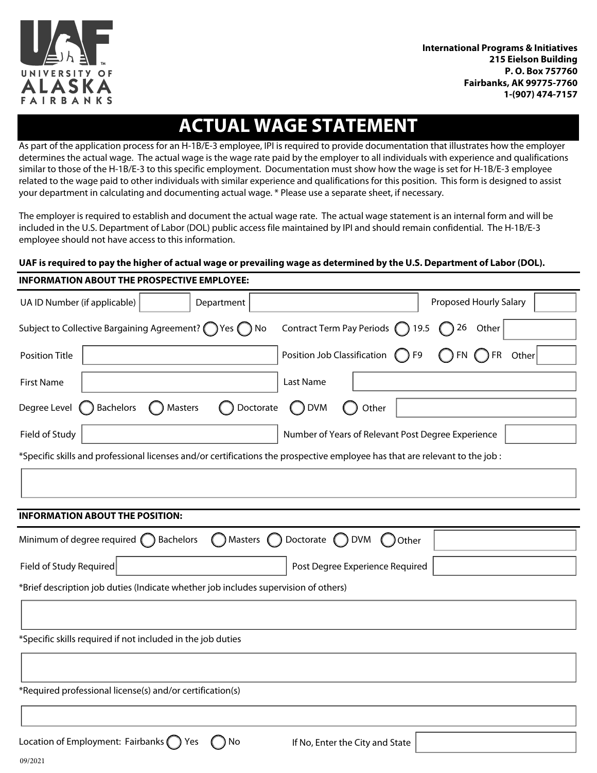

# **ACTUAL WAGE STATEMENT**

As part of the application process for an H-1B/E-3 employee, IPI is required to provide documentation that illustrates how the employer determines the actual wage. The actual wage is the wage rate paid by the employer to all individuals with experience and qualifications similar to those of the H-1B/E-3 to this specific employment. Documentation must show how the wage is set for H-1B/E-3 employee related to the wage paid to other individuals with similar experience and qualifications for this position. This form is designed to assist your department in calculating and documenting actual wage. \* Please use a separate sheet, if necessary.

The employer is required to establish and document the actual wage rate. The actual wage statement is an internal form and will be included in the U.S. Department of Labor (DOL) public access file maintained by IPI and should remain confidential. The H-1B/E-3 employee should not have access to this information.

## **UAF is required to pay the higher of actual wage or prevailing wage as determined by the U.S. Department of Labor (DOL).**

| <b>INFORMATION ABOUT THE PROSPECTIVE EMPLOYEE:</b>                                                                           |                                                                      |                        |  |  |  |  |  |
|------------------------------------------------------------------------------------------------------------------------------|----------------------------------------------------------------------|------------------------|--|--|--|--|--|
| UA ID Number (if applicable)<br>Department                                                                                   |                                                                      | Proposed Hourly Salary |  |  |  |  |  |
| Subject to Collective Bargaining Agreement? (Ves (C) No                                                                      | Contract Term Pay Periods 19.5                                       | $\bigcap$ 26 Other     |  |  |  |  |  |
| Position Title                                                                                                               | Position Job Classification ( F9                                     | ∩FN ∩FR Other          |  |  |  |  |  |
| <b>First Name</b>                                                                                                            | Last Name                                                            |                        |  |  |  |  |  |
| Degree Level<br><b>Bachelors</b><br>Masters<br>Doctorate                                                                     | <b>DVM</b><br>Other<br>$\left( \quad \right)$                        |                        |  |  |  |  |  |
| Field of Study                                                                                                               | Number of Years of Relevant Post Degree Experience                   |                        |  |  |  |  |  |
| *Specific skills and professional licenses and/or certifications the prospective employee has that are relevant to the job : |                                                                      |                        |  |  |  |  |  |
|                                                                                                                              |                                                                      |                        |  |  |  |  |  |
|                                                                                                                              |                                                                      |                        |  |  |  |  |  |
| <b>INFORMATION ABOUT THE POSITION:</b>                                                                                       |                                                                      |                        |  |  |  |  |  |
| Minimum of degree required $\bigcap$ Bachelors<br>( ) Masters ( )                                                            | Doctorate $\bigcap$<br><b>DVM</b><br>Other<br>$\left( \quad \right)$ |                        |  |  |  |  |  |
| Field of Study Required                                                                                                      | Post Degree Experience Required                                      |                        |  |  |  |  |  |
| *Brief description job duties (Indicate whether job includes supervision of others)                                          |                                                                      |                        |  |  |  |  |  |
|                                                                                                                              |                                                                      |                        |  |  |  |  |  |
| *Specific skills required if not included in the job duties                                                                  |                                                                      |                        |  |  |  |  |  |
|                                                                                                                              |                                                                      |                        |  |  |  |  |  |
| *Required professional license(s) and/or certification(s)                                                                    |                                                                      |                        |  |  |  |  |  |
|                                                                                                                              |                                                                      |                        |  |  |  |  |  |
| Location of Employment: Fairbanks () Yes<br>) No                                                                             | If No, Enter the City and State                                      |                        |  |  |  |  |  |